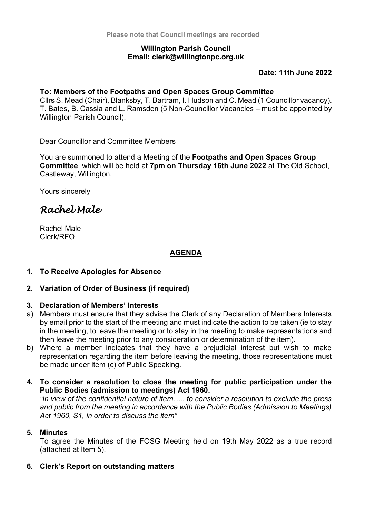### **Willington Parish Council Email: clerk@willingtonpc.org.uk**

**Date: 11th June 2022**

### **To: Members of the Footpaths and Open Spaces Group Committee**

Cllrs S. Mead (Chair), Blanksby, T. Bartram, I. Hudson and C. Mead (1 Councillor vacancy). T. Bates, B. Cassia and L. Ramsden (5 Non-Councillor Vacancies – must be appointed by Willington Parish Council).

Dear Councillor and Committee Members

You are summoned to attend a Meeting of the **Footpaths and Open Spaces Group Committee**, which will be held at **7pm on Thursday 16th June 2022** at The Old School, Castleway, Willington.

Yours sincerely

# *Rachel Male*

Rachel Male Clerk/RFO

# **AGENDA**

# **1. To Receive Apologies for Absence**

# **2. Variation of Order of Business (if required)**

# **3. Declaration of Members' Interests**

- a) Members must ensure that they advise the Clerk of any Declaration of Members Interests by email prior to the start of the meeting and must indicate the action to be taken (ie to stay in the meeting, to leave the meeting or to stay in the meeting to make representations and then leave the meeting prior to any consideration or determination of the item).
- b) Where a member indicates that they have a prejudicial interest but wish to make representation regarding the item before leaving the meeting, those representations must be made under item (c) of Public Speaking.

## **4. To consider a resolution to close the meeting for public participation under the Public Bodies (admission to meetings) Act 1960.**

*"In view of the confidential nature of item….. to consider a resolution to exclude the press and public from the meeting in accordance with the Public Bodies (Admission to Meetings) Act 1960, S1, in order to discuss the item"*

#### **5. Minutes**

To agree the Minutes of the FOSG Meeting held on 19th May 2022 as a true record (attached at Item 5).

# **6. Clerk's Report on outstanding matters**